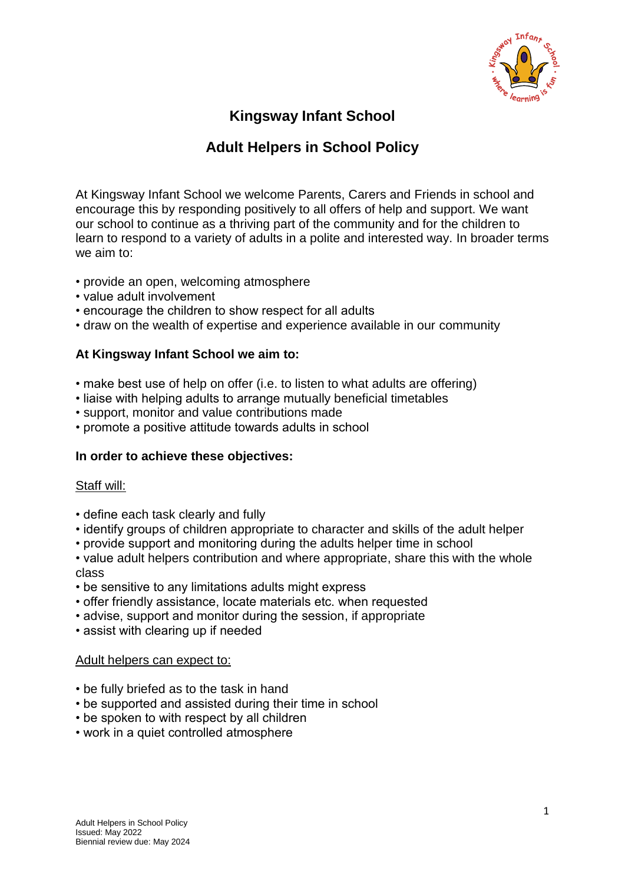

# **Kingsway Infant School**

## **Adult Helpers in School Policy**

At Kingsway Infant School we welcome Parents, Carers and Friends in school and encourage this by responding positively to all offers of help and support. We want our school to continue as a thriving part of the community and for the children to learn to respond to a variety of adults in a polite and interested way. In broader terms we aim to:

- provide an open, welcoming atmosphere
- value adult involvement
- encourage the children to show respect for all adults
- draw on the wealth of expertise and experience available in our community

## **At Kingsway Infant School we aim to:**

- make best use of help on offer (i.e. to listen to what adults are offering)
- liaise with helping adults to arrange mutually beneficial timetables
- support, monitor and value contributions made
- promote a positive attitude towards adults in school

### **In order to achieve these objectives:**

#### Staff will:

- define each task clearly and fully
- identify groups of children appropriate to character and skills of the adult helper
- provide support and monitoring during the adults helper time in school

• value adult helpers contribution and where appropriate, share this with the whole class

- be sensitive to any limitations adults might express
- offer friendly assistance, locate materials etc. when requested
- advise, support and monitor during the session, if appropriate
- assist with clearing up if needed

#### Adult helpers can expect to:

- be fully briefed as to the task in hand
- be supported and assisted during their time in school
- be spoken to with respect by all children
- work in a quiet controlled atmosphere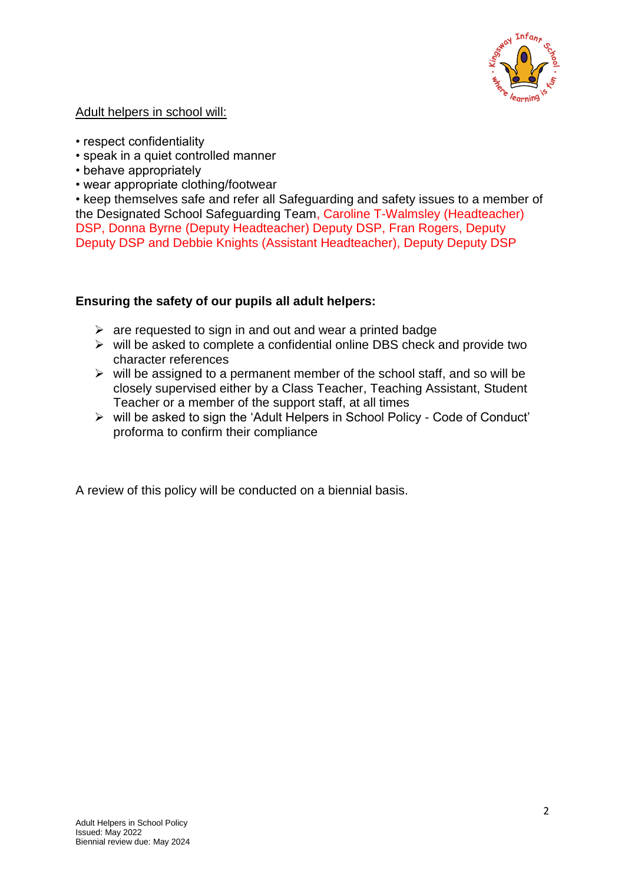

## Adult helpers in school will:

- respect confidentiality
- speak in a quiet controlled manner
- behave appropriately
- wear appropriate clothing/footwear

• keep themselves safe and refer all Safeguarding and safety issues to a member of the Designated School Safeguarding Team, Caroline T-Walmsley (Headteacher) DSP, Donna Byrne (Deputy Headteacher) Deputy DSP, Fran Rogers, Deputy Deputy DSP and Debbie Knights (Assistant Headteacher), Deputy Deputy DSP

## **Ensuring the safety of our pupils all adult helpers:**

- $\triangleright$  are requested to sign in and out and wear a printed badge
- $\triangleright$  will be asked to complete a confidential online DBS check and provide two character references
- $\triangleright$  will be assigned to a permanent member of the school staff, and so will be closely supervised either by a Class Teacher, Teaching Assistant, Student Teacher or a member of the support staff, at all times
- will be asked to sign the 'Adult Helpers in School Policy Code of Conduct' proforma to confirm their compliance

A review of this policy will be conducted on a biennial basis.